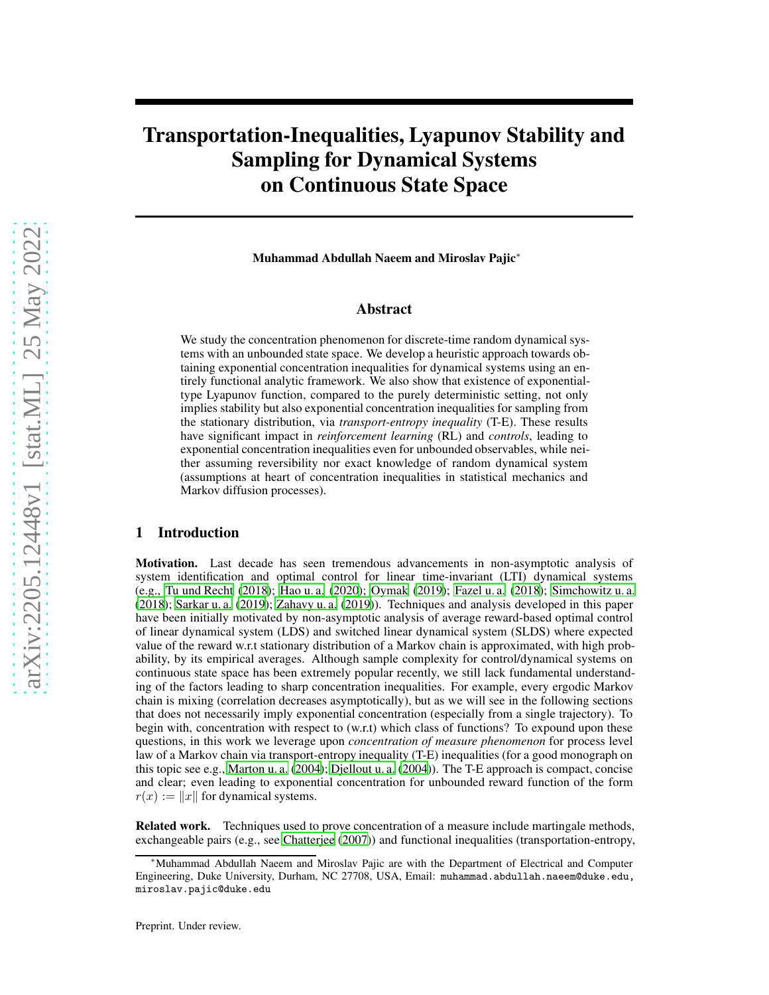# Transportation-Inequalities, Lyapunov Stability and Sampling for Dynamical Systems on Continuous State Space

Muhammad Abdullah Naeem and Miroslav Pajic∗

# Abstract

We study the concentration phenomenon for discrete-time random dynamical systems with an unbounded state space. We develop a heuristic approach towards obtaining exponential concentration inequalities for dynamical systems using an entirely functional analytic framework. We also show that existence of exponentialtype Lyapunov function, compared to the purely deterministic setting, not only implies stability but also exponential concentration inequalities for sampling from the stationary distribution, via *transport-entropy inequality* (T-E). These results have significant impact in *reinforcement learning* (RL) and *controls*, leading to exponential concentration inequalities even for unbounded observables, while neither assuming reversibility nor exact knowledge of random dynamical system (assumptions at heart of concentration inequalities in statistical mechanics and Markov diffusion processes).

# 1 Introduction

Motivation. Last decade has seen tremendous advancements in non-asymptotic analysis of system identification and optimal control for linear time-invariant (LTI) dynamical systems (e.g., [Tu und Recht \(2018\)](#page-10-0); [Hao u. a.](#page-9-0) [\(2020\)](#page-9-0); [Oymak \(2019\)](#page-9-1); [Fazel u. a.](#page-9-2) [\(2018\)](#page-9-2); [Simchowitz u. a.](#page-9-3) [\(2018\)](#page-9-3); [Sarkar u. a. \(2019](#page-9-4)); [Zahavy u. a. \(2019\)](#page-10-1)). Techniques and analysis developed in this paper have been initially motivated by non-asymptotic analysis of average reward-based optimal control of linear dynamical system (LDS) and switched linear dynamical system (SLDS) where expected value of the reward w.r.t stationary distribution of a Markov chain is approximated, with high probability, by its empirical averages. Although sample complexity for control/dynamical systems on continuous state space has been extremely popular recently, we still lack fundamental understanding of the factors leading to sharp concentration inequalities. For example, every ergodic Markov chain is mixing (correlation decreases asymptotically), but as we will see in the following sections that does not necessarily imply exponential concentration (especially from a single trajectory). To begin with, concentration with respect to (w.r.t) which class of functions? To expound upon these questions, in this work we leverage upon *concentration of measure phenomenon* for process level law of a Markov chain via transport-entropy inequality (T-E) inequalities (for a good monograph on this topic see e.g., [Marton u. a. \(2004](#page-9-5)); [Djellout u. a.](#page-9-6) [\(2004\)](#page-9-6)). The T-E approach is compact, concise and clear; even leading to exponential concentration for unbounded reward function of the form  $r(x) := ||x||$  for dynamical systems.

Related work. Techniques used to prove concentration of a measure include martingale methods, exchangeable pairs (e.g., see [Chatterjee](#page-9-7) [\(2007\)](#page-9-7)) and functional inequalities (transportation-entropy,

<sup>∗</sup>Muhammad Abdullah Naeem and Miroslav Pajic are with the Department of Electrical and Computer Engineering, Duke University, Durham, NC 27708, USA, Email: muhammad.abdullah.naeem@duke.edu, miroslav.pajic@duke.edu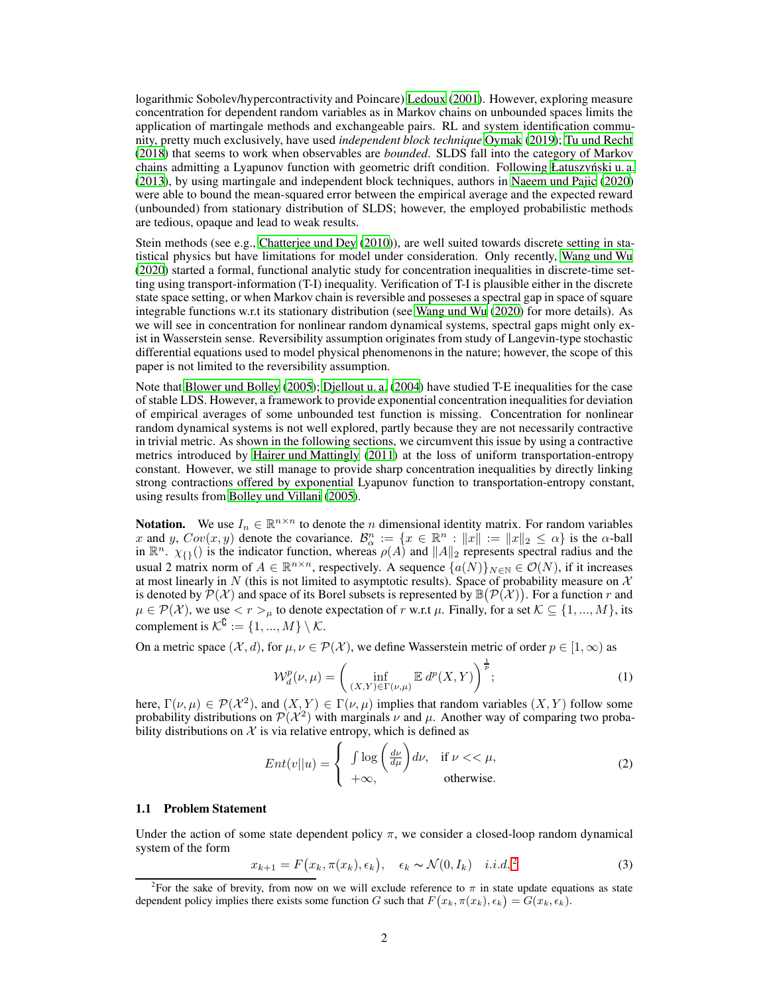logarithmic Sobolev/hypercontractivity and Poincare) [Ledoux](#page-9-8) [\(2001\)](#page-9-8). However, exploring measure concentration for dependent random variables as in Markov chains on unbounded spaces limits the application of martingale methods and exchangeable pairs. RL and system identification community, pretty much exclusively, have used *independent block technique* [Oymak](#page-9-1) [\(2019\)](#page-9-1); [Tu und Recht](#page-10-0) [\(2018\)](#page-10-0) that seems to work when observables are *bounded*. SLDS fall into the category of Markov chains admitting a Lyapunov function with geometric drift condition. Following Łatuszyński u. a. [\(2013\)](#page-9-9), by using martingale and independent block techniques, authors in [Naeem und Pajic \(2020\)](#page-9-10) were able to bound the mean-squared error between the empirical average and the expected reward (unbounded) from stationary distribution of SLDS; however, the employed probabilistic methods are tedious, opaque and lead to weak results.

Stein methods (see e.g., [Chatterjee und Dey \(2010\)](#page-9-11)), are well suited towards discrete setting in statistical physics but have limitations for model under consideration. Only recently, [Wang und Wu](#page-10-2) [\(2020\)](#page-10-2) started a formal, functional analytic study for concentration inequalities in discrete-time setting using transport-information (T-I) inequality. Verification of T-I is plausible either in the discrete state space setting, or when Markov chain is reversible and posseses a spectral gap in space of square integrable functions w.r.t its stationary distribution (see [Wang und Wu \(2020\)](#page-10-2) for more details). As we will see in concentration for nonlinear random dynamical systems, spectral gaps might only exist in Wasserstein sense. Reversibility assumption originates from study of Langevin-type stochastic differential equations used to model physical phenomenonsin the nature; however, the scope of this paper is not limited to the reversibility assumption.

Note that [Blower und Bolley](#page-8-0) [\(2005\)](#page-8-0); [Djellout u. a. \(2004](#page-9-6)) have studied T-E inequalities for the case of stable LDS. However, a framework to provide exponential concentration inequalities for deviation of empirical averages of some unbounded test function is missing. Concentration for nonlinear random dynamical systems is not well explored, partly because they are not necessarily contractive in trivial metric. As shown in the following sections, we circumvent this issue by using a contractive metrics introduced by [Hairer und Mattingly](#page-9-12) [\(2011\)](#page-9-12) at the loss of uniform transportation-entropy constant. However, we still manage to provide sharp concentration inequalities by directly linking strong contractions offered by exponential Lyapunov function to transportation-entropy constant, using results from [Bolley und Villani](#page-9-13) [\(2005\)](#page-9-13).

**Notation.** We use  $I_n \in \mathbb{R}^{n \times n}$  to denote the *n* dimensional identity matrix. For random variables x and y,  $Cov(x, y)$  denote the covariance.  $\mathcal{B}_{\alpha}^{n} := \{x \in \mathbb{R}^{n} : ||x|| := ||x||_2 \leq \alpha\}$  is the  $\alpha$ -ball in  $\mathbb{R}^{n}$ .  $\chi_{\{\}}$  () is the indicator function, whereas  $\rho(A)$  and  $||A||_2$  represents spectral radius and the usual 2 matrix norm of  $A \in \mathbb{R}^{n \times n}$ , respectively. A sequence  $\{a(N)\}_{N \in \mathbb{N}} \in \mathcal{O}(N)$ , if it increases at most linearly in N (this is not limited to asymptotic results). Space of probability measure on  $\mathcal{X}$ is denoted by  $\mathcal{P}(\mathcal{X})$  and space of its Borel subsets is represented by  $\mathbb{B}(\mathcal{P}(\mathcal{X}))$ . For a function r and  $\mu \in \mathcal{P}(\mathcal{X})$ , we use  $\langle r \rangle_{\mu}$  to denote expectation of r w.r.t  $\mu$ . Finally, for a set  $\mathcal{K} \subseteq \{1, ..., M\}$ , its complement is  $\mathcal{K}^{\complement} := \{1, ..., M\} \setminus \mathcal{K}.$ 

On a metric space  $(\mathcal{X}, d)$ , for  $\mu, \nu \in \mathcal{P}(\mathcal{X})$ , we define Wasserstein metric of order  $p \in [1, \infty)$  as

$$
\mathcal{W}_d^p(\nu,\mu) = \left(\inf_{(X,Y)\in\Gamma(\nu,\mu)} \mathbb{E} \, d^p(X,Y)\right)^{\frac{1}{p}}; \tag{1}
$$

here,  $\Gamma(\nu, \mu) \in \mathcal{P}(\mathcal{X}^2)$ , and  $(X, Y) \in \Gamma(\nu, \mu)$  implies that random variables  $(X, Y)$  follow some probability distributions on  $\mathcal{P}(\mathcal{X}^2)$  with marginals  $\nu$  and  $\mu$ . Another way of comparing two probability distributions on  $X$  is via relative entropy, which is defined as

$$
Ent(v||u) = \begin{cases} \int \log\left(\frac{d\nu}{d\mu}\right) d\nu, & \text{if } \nu \ll \mu, \\ +\infty, & \text{otherwise.} \end{cases}
$$
 (2)

#### 1.1 Problem Statement

Under the action of some state dependent policy  $\pi$ , we consider a closed-loop random dynamical system of the form

<span id="page-1-1"></span>
$$
x_{k+1} = F(x_k, \pi(x_k), \epsilon_k), \quad \epsilon_k \sim \mathcal{N}(0, I_k) \quad i.i.d.^2 \tag{3}
$$

<span id="page-1-0"></span><sup>&</sup>lt;sup>2</sup>For the sake of brevity, from now on we will exclude reference to  $\pi$  in state update equations as state dependent policy implies there exists some function G such that  $F(x_k, \pi(x_k), \epsilon_k) = G(x_k, \epsilon_k)$ .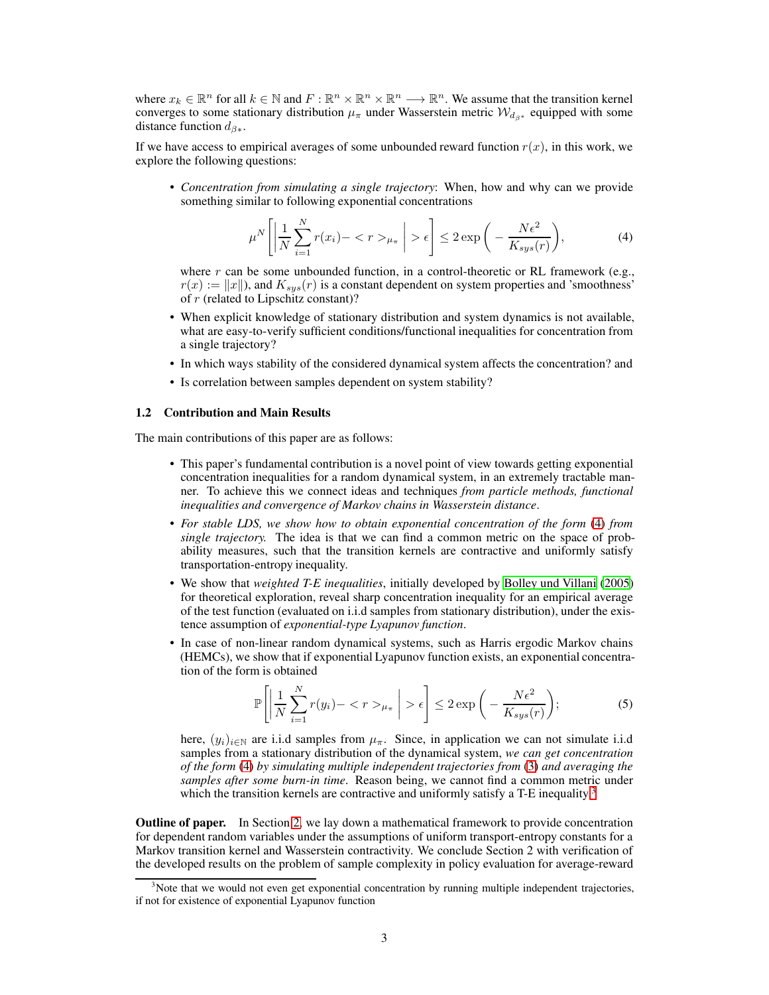where  $x_k \in \mathbb{R}^n$  for all  $k \in \mathbb{N}$  and  $F : \mathbb{R}^n \times \mathbb{R}^n \times \mathbb{R}^n \longrightarrow \mathbb{R}^n$ . We assume that the transition kernel converges to some stationary distribution  $\mu_{\pi}$  under Wasserstein metric  $\mathcal{W}_{d_{\beta^*}}$  equipped with some distance function  $d_{\beta *}$ .

If we have access to empirical averages of some unbounded reward function  $r(x)$ , in this work, we explore the following questions:

• *Concentration from simulating a single trajectory*: When, how and why can we provide something similar to following exponential concentrations

<span id="page-2-0"></span>
$$
\mu^N \left[ \left| \frac{1}{N} \sum_{i=1}^N r(x_i) - \langle r \rangle_{\mu_\pi} \right| > \epsilon \right] \le 2 \exp \left( - \frac{N \epsilon^2}{K_{sys}(r)} \right),\tag{4}
$$

where r can be some unbounded function, in a control-theoretic or RL framework (e.g.,  $r(x) := ||x||$ , and  $K_{sys}(r)$  is a constant dependent on system properties and 'smoothness' of r (related to Lipschitz constant)?

- When explicit knowledge of stationary distribution and system dynamics is not available, what are easy-to-verify sufficient conditions/functional inequalities for concentration from a single trajectory?
- In which ways stability of the considered dynamical system affects the concentration? and
- Is correlation between samples dependent on system stability?

#### 1.2 Contribution and Main Results

The main contributions of this paper are as follows:

- This paper's fundamental contribution is a novel point of view towards getting exponential concentration inequalities for a random dynamical system, in an extremely tractable manner. To achieve this we connect ideas and techniques *from particle methods, functional inequalities and convergence of Markov chains in Wasserstein distance*.
- *For stable LDS, we show how to obtain exponential concentration of the form* [\(4\)](#page-2-0) *from single trajectory.* The idea is that we can find a common metric on the space of probability measures, such that the transition kernels are contractive and uniformly satisfy transportation-entropy inequality.
- We show that *weighted T-E inequalities*, initially developed by [Bolley und Villani \(2005\)](#page-9-13) for theoretical exploration, reveal sharp concentration inequality for an empirical average of the test function (evaluated on i.i.d samples from stationary distribution), under the existence assumption of *exponential-type Lyapunov function*.
- In case of non-linear random dynamical systems, such as Harris ergodic Markov chains (HEMCs), we show that if exponential Lyapunov function exists, an exponential concentration of the form is obtained

$$
\mathbb{P}\left[\left|\frac{1}{N}\sum_{i=1}^{N}r(y_i)-\langle r\rangle_{\mu_{\pi}}\right|>\epsilon\right] \leq 2\exp\left(-\frac{N\epsilon^2}{K_{sys}(r)}\right);
$$
\n(5)

here,  $(y_i)_{i \in \mathbb{N}}$  are i.i.d samples from  $\mu_\pi$ . Since, in application we can not simulate i.i.d samples from a stationary distribution of the dynamical system, *we can get concentration of the form* [\(4\)](#page-2-0) *by simulating multiple independent trajectories from* [\(3\)](#page-1-1) *and averaging the samples after some burn-in time*. Reason being, we cannot find a common metric under which the transition kernels are contractive and uniformly satisfy a T-E inequality.<sup>[3](#page-2-1)</sup>

**Outline of paper.** In Section [2,](#page-3-0) we lay down a mathematical framework to provide concentration for dependent random variables under the assumptions of uniform transport-entropy constants for a Markov transition kernel and Wasserstein contractivity. We conclude Section 2 with verification of the developed results on the problem of sample complexity in policy evaluation for average-reward

<span id="page-2-1"></span> $3$ Note that we would not even get exponential concentration by running multiple independent trajectories, if not for existence of exponential Lyapunov function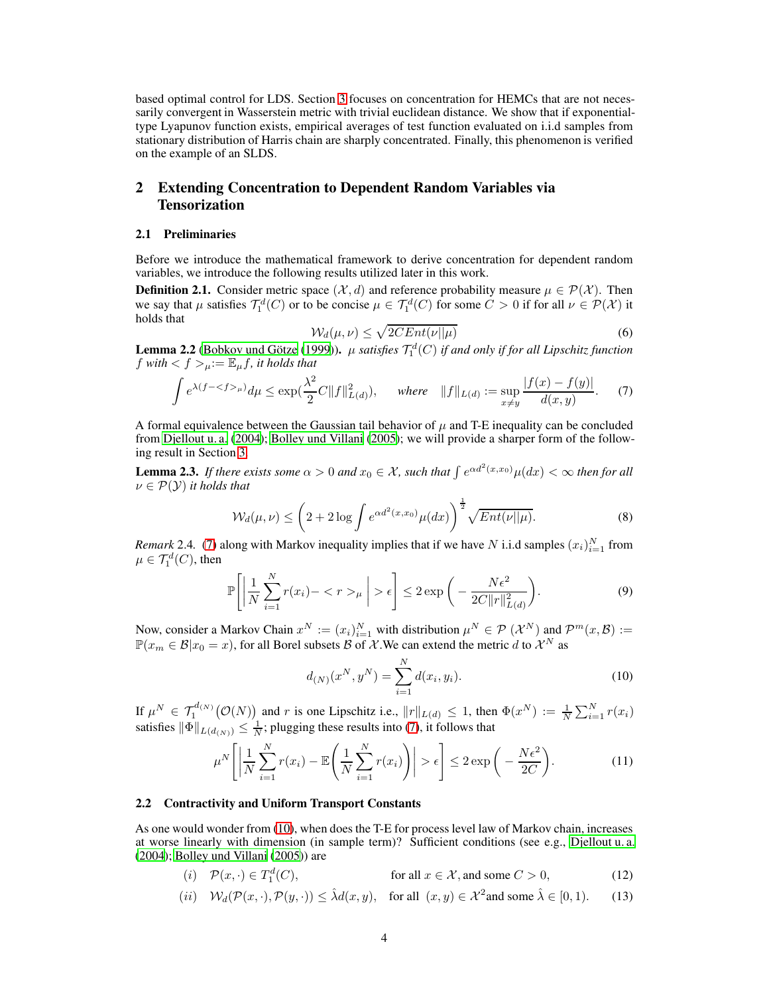based optimal control for LDS. Section [3](#page-5-0) focuses on concentration for HEMCs that are not necessarily convergent in Wasserstein metric with trivial euclidean distance. We show that if exponentialtype Lyapunov function exists, empirical averages of test function evaluated on i.i.d samples from stationary distribution of Harris chain are sharply concentrated. Finally, this phenomenon is verified on the example of an SLDS.

# <span id="page-3-0"></span>2 Extending Concentration to Dependent Random Variables via Tensorization

#### 2.1 Preliminaries

Before we introduce the mathematical framework to derive concentration for dependent random variables, we introduce the following results utilized later in this work.

**Definition 2.1.** Consider metric space  $(\mathcal{X}, d)$  and reference probability measure  $\mu \in \mathcal{P}(\mathcal{X})$ . Then we say that  $\mu$  satisfies  $\mathcal{T}_1^d(C)$  or to be concise  $\mu \in \mathcal{T}_1^d(C)$  for some  $C > 0$  if for all  $\nu \in \mathcal{P}(\mathcal{X})$  it holds that

<span id="page-3-1"></span>
$$
\mathcal{W}_d(\mu, \nu) \le \sqrt{2CEnt(\nu||\mu)}\tag{6}
$$

**Lemma 2.2** [\(Bobkov und Götze \(1999\)](#page-8-1)).  $\mu$  *satisfies*  $\mathcal{T}_1^d(C)$  *if and only if for all Lipschitz function* f with  $\langle f \rangle_{\mu} := \mathbb{E}_{\mu} f$ , it holds that

$$
\int e^{\lambda(f - \langle f \rangle_{\mu})} d\mu \le \exp(\frac{\lambda^2}{2}C \|f\|_{L(d)}^2), \quad \text{where} \quad \|f\|_{L(d)} := \sup_{x \ne y} \frac{|f(x) - f(y)|}{d(x, y)}.
$$
 (7)

A formal equivalence between the Gaussian tail behavior of  $\mu$  and T-E inequality can be concluded from [Djellout u. a. \(2004](#page-9-6)); [Bolley und Villani \(2005\)](#page-9-13); we will provide a sharper form of the following result in Section [3.](#page-5-0)

**Lemma 2.3.** If there exists some  $\alpha > 0$  and  $x_0 \in \mathcal{X}$ , such that  $\int e^{\alpha d^2(x,x_0)} \mu(dx) < \infty$  then for all  $\nu \in \mathcal{P}(\mathcal{Y})$  *it holds that* 

$$
\mathcal{W}_d(\mu,\nu) \le \left(2 + 2\log \int e^{\alpha d^2(x,x_0)}\mu(dx)\right)^{\frac{1}{2}} \sqrt{Ent(\nu||\mu)}.
$$
\n(8)

*Remark* 2.4. [\(7\)](#page-3-1) along with Markov inequality implies that if we have N i.i.d samples  $(x_i)_{i=1}^N$  from  $\mu \in \mathcal{T}_1^d(C)$ , then

$$
\mathbb{P}\left[\left|\frac{1}{N}\sum_{i=1}^{N}r(x_i)-\langle r\rangle_{\mu}\right|>\epsilon\right] \leq 2\exp\left(-\frac{N\epsilon^2}{2C\|r\|_{L(d)}^2}\right).
$$
\n(9)

Now, consider a Markov Chain  $x^N := (x_i)_{i=1}^N$  with distribution  $\mu^N \in \mathcal{P}(\mathcal{X}^N)$  and  $\mathcal{P}^m(x, \mathcal{B}) :=$  $\mathbb{P}(x_m \in \mathcal{B}|x_0 = x)$ , for all Borel subsets  $\mathcal{B}$  of  $\mathcal{X}$ . We can extend the metric d to  $\mathcal{X}^N$  as

<span id="page-3-4"></span><span id="page-3-3"></span><span id="page-3-2"></span>
$$
d_{(N)}(x^N, y^N) = \sum_{i=1}^N d(x_i, y_i).
$$
 (10)

If  $\mu^N \in \mathcal{T}_1^{d(N)}(\mathcal{O}(N))$  and r is one Lipschitz i.e.,  $||r||_{L(d)} \leq 1$ , then  $\Phi(x^N) := \frac{1}{N} \sum_{i=1}^N r(x_i)$ satisfies  $\|\Phi\|_{L(d_{(N)})} \leq \frac{1}{N}$ ; plugging these results into [\(7\)](#page-3-1), it follows that

$$
\mu^N \left[ \left| \frac{1}{N} \sum_{i=1}^N r(x_i) - \mathbb{E} \left( \frac{1}{N} \sum_{i=1}^N r(x_i) \right) \right| > \epsilon \right] \le 2 \exp \left( - \frac{N \epsilon^2}{2C} \right). \tag{11}
$$

#### 2.2 Contractivity and Uniform Transport Constants

As one would wonder from [\(10\)](#page-3-2), when does the T-E for process level law of Markov chain, increases at worse linearly with dimension (in sample term)? Sufficient conditions (see e.g., [Djellout u. a.](#page-9-6) [\(2004\)](#page-9-6); [Bolley und Villani](#page-9-13) [\(2005\)](#page-9-13)) are

- (i)  $\mathcal{P}(x, \cdot) \in T_1^d(C)$ , for all  $x \in \mathcal{X}$ , and some  $C > 0$ , (12)
- (*ii*)  $\mathcal{W}_d(\mathcal{P}(x, \cdot), \mathcal{P}(y, \cdot)) \leq \hat{\lambda} d(x, y), \text{ for all } (x, y) \in \mathcal{X}^2 \text{ and some } \hat{\lambda} \in [0, 1).$  (13)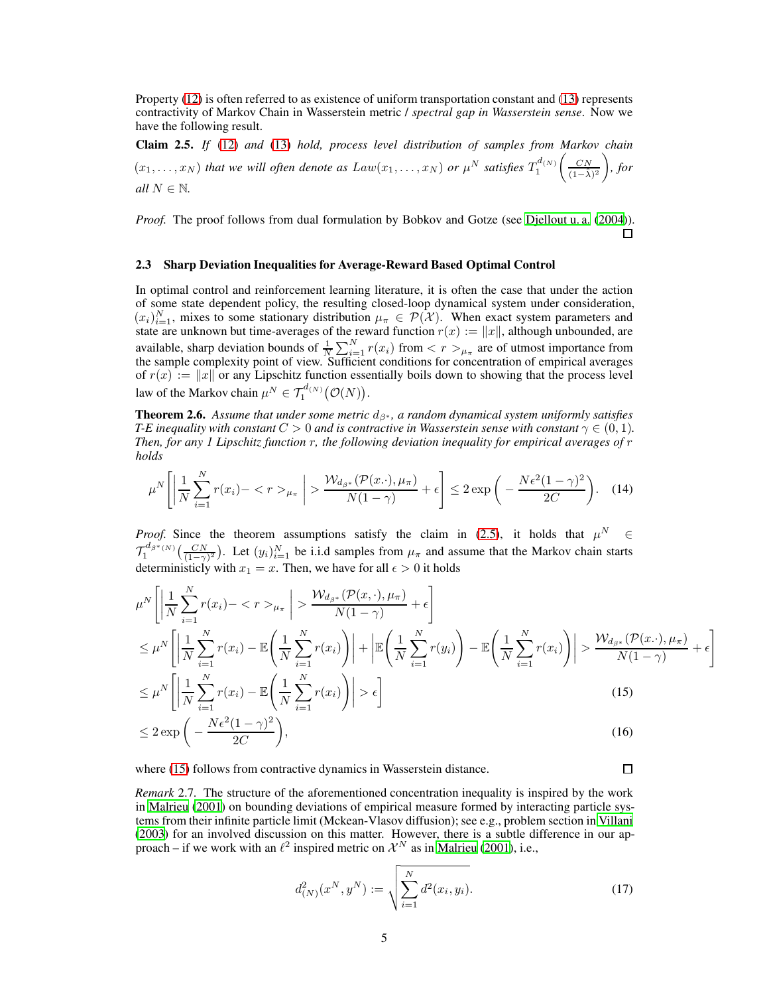Property [\(12\)](#page-3-3) is often referred to as existence of uniform transportation constant and [\(13\)](#page-3-4) represents contractivity of Markov Chain in Wasserstein metric / *spectral gap in Wasserstein sense*. Now we have the following result.

<span id="page-4-0"></span>Claim 2.5. *If* [\(12\)](#page-3-3) *and* [\(13\)](#page-3-4) *hold, process level distribution of samples from Markov chain*  $(x_1, \ldots, x_N)$  *that we will often denote as*  $Law(x_1, \ldots, x_N)$  *or*  $\mu^N$  *satisfies*  $T_1^{d(N)}$  $\left(\frac{CN}{(1-\hat{\lambda})^2}\right)$  *, for all*  $N \in \mathbb{N}$ *.* 

*Proof.* The proof follows from dual formulation by Bobkov and Gotze (see [Djellout u. a.](#page-9-6) [\(2004\)](#page-9-6)). П

#### 2.3 Sharp Deviation Inequalities for Average-Reward Based Optimal Control

In optimal control and reinforcement learning literature, it is often the case that under the action of some state dependent policy, the resulting closed-loop dynamical system under consideration,  $(x_i)_{i=1}^N$ , mixes to some stationary distribution  $\mu_{\pi} \in \mathcal{P}(\mathcal{X})$ . When exact system parameters and state are unknown but time-averages of the reward function  $r(x) := ||x||$ , although unbounded, are available, sharp deviation bounds of  $\frac{1}{N} \sum_{i=1}^{N} r(x_i)$  from  $\lt r >_{\mu_{\pi}}$  are of utmost importance from the sample complexity point of view. Sufficient conditions for concentration of empirical averages of  $r(x) := ||x||$  or any Lipschitz function essentially boils down to showing that the process level law of the Markov chain  $\mu^N \in \mathcal{T}_1^{d_{(N)}}(\mathcal{O}(N)).$ 

Theorem 2.6. *Assume that under some metric* dβ<sup>∗</sup> *, a random dynamical system uniformly satisfies T-E inequality with constant*  $C > 0$  *and is contractive in Wasserstein sense with constant*  $\gamma \in (0, 1)$ *. Then, for any 1 Lipschitz function* r*, the following deviation inequality for empirical averages of* r *holds*

$$
\mu^N \left[ \left| \frac{1}{N} \sum_{i=1}^N r(x_i) - \langle r \rangle_{\mu_\pi} \right| > \frac{\mathcal{W}_{d_{\beta^*}}(\mathcal{P}(x, \cdot), \mu_\pi)}{N(1 - \gamma)} + \epsilon \right] \le 2 \exp\left( -\frac{N\epsilon^2 (1 - \gamma)^2}{2C} \right). \tag{14}
$$

*Proof.* Since the theorem assumptions satisfy the claim in [\(2.5\)](#page-4-0), it holds that  $\mu^N \in$  $\mathcal{T}_1^{d_{\beta^*(N)}}\left(\frac{CN}{(1-\gamma)^2}\right)$ . Let  $(y_i)_{i=1}^N$  be i.i.d samples from  $\mu_\pi$  and assume that the Markov chain starts deterministicly with  $x_1 = x$ . Then, we have for all  $\epsilon > 0$  it holds

$$
\mu^N \left[ \left| \frac{1}{N} \sum_{i=1}^N r(x_i) - \langle r \rangle_{\mu_\pi} \right| > \frac{\mathcal{W}_{d_{\beta^*}}(\mathcal{P}(x, \cdot), \mu_\pi)}{N(1 - \gamma)} + \epsilon \right]
$$
\n
$$
\leq \mu^N \left[ \left| \frac{1}{N} \sum_{i=1}^N r(x_i) - \mathbb{E} \left( \frac{1}{N} \sum_{i=1}^N r(x_i) \right) \right| + \left| \mathbb{E} \left( \frac{1}{N} \sum_{i=1}^N r(y_i) \right) - \mathbb{E} \left( \frac{1}{N} \sum_{i=1}^N r(x_i) \right) \right| > \frac{\mathcal{W}_{d_{\beta^*}}(\mathcal{P}(x, \cdot), \mu_\pi)}{N(1 - \gamma)} + \epsilon \right]
$$
\n
$$
\leq N \left[ \left| \frac{1}{N} \sum_{i=1}^N r(x_i) \right| + \left| \frac{1}{N} \sum_{i=1}^N r(x_i) \right| \right], \quad \text{(15)}
$$

$$
\leq \mu^N \left[ \left| \frac{1}{N} \sum_{i=1}^N r(x_i) - \mathbb{E} \left( \frac{1}{N} \sum_{i=1}^N r(x_i) \right) \right| > \epsilon \right]
$$
\n(15)

$$
\leq 2 \exp\bigg(-\frac{N\epsilon^2(1-\gamma)^2}{2C}\bigg),\tag{16}
$$

where [\(15\)](#page-4-1) follows from contractive dynamics in Wasserstein distance.

*Remark* 2.7*.* The structure of the aforementioned concentration inequality is inspired by the work in [Malrieu \(2001\)](#page-9-14) on bounding deviations of empirical measure formed by interacting particle systems from their infinite particle limit (Mckean-Vlasov diffusion); see e.g., problem section in [Villani](#page-10-3) [\(2003\)](#page-10-3) for an involved discussion on this matter. However, there is a subtle difference in our approach – if we work with an  $\ell^2$  inspired metric on  $\mathcal{X}^N$  as in [Malrieu](#page-9-14) [\(2001\)](#page-9-14), i.e.,

$$
d_{(N)}^2(x^N, y^N) := \sqrt{\sum_{i=1}^N d^2(x_i, y_i)}.
$$
 (17)

<span id="page-4-2"></span><span id="page-4-1"></span> $\Box$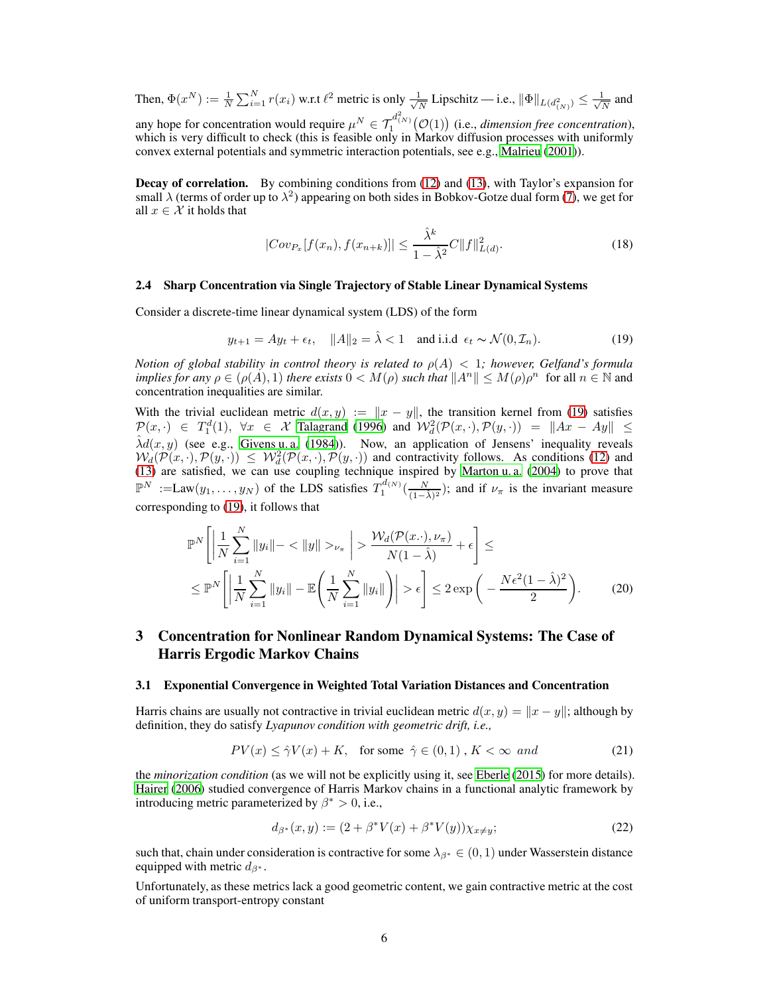Then,  $\Phi(x^N) := \frac{1}{N} \sum_{i=1}^N r(x_i)$  w.r.t  $\ell^2$  metric is only  $\frac{1}{\sqrt{l}}$  $\frac{1}{N}$  Lipschitz — i.e.,  $\|\Phi\|_{L(d^2_{(N)})} \leq \frac{1}{\sqrt{N}}$  $\frac{1}{N}$  and any hope for concentration would require  $\mu^N \in \mathcal{T}_1^{d^2(N)}(\mathcal{O}(1))$  (i.e., *dimension free concentration*), which is very difficult to check (this is feasible only in Markov diffusion processes with uniformly convex external potentials and symmetric interaction potentials, see e.g., [Malrieu \(2001\)](#page-9-14)).

Decay of correlation. By combining conditions from [\(12\)](#page-3-3) and [\(13\)](#page-3-4), with Taylor's expansion for small  $\lambda$  (terms of order up to  $\lambda^2$ ) appearing on both sides in Bobkov-Gotze dual form [\(7\)](#page-3-1), we get for all  $x \in \mathcal{X}$  it holds that

<span id="page-5-2"></span>
$$
|Cov_{P_x}[f(x_n), f(x_{n+k})]| \le \frac{\hat{\lambda}^k}{1 - \hat{\lambda}^2} C ||f||_{L(d)}^2.
$$
 (18)

#### 2.4 Sharp Concentration via Single Trajectory of Stable Linear Dynamical Systems

Consider a discrete-time linear dynamical system (LDS) of the form

<span id="page-5-1"></span>
$$
y_{t+1} = Ay_t + \epsilon_t, \quad ||A||_2 = \hat{\lambda} < 1 \quad \text{and i.i.d. } \epsilon_t \sim \mathcal{N}(0, \mathcal{I}_n). \tag{19}
$$

*Notion of global stability in control theory is related to*  $\rho(A) < 1$ *; however, Gelfand's formula implies for any*  $\rho \in (\rho(A), 1)$  *there exists*  $0 < M(\rho)$  *such that*  $||A^n|| \leq M(\rho)\rho^n$  for all  $n \in \mathbb{N}$  and concentration inequalities are similar.

With the trivial euclidean metric  $d(x, y) := ||x - y||$ , the transition kernel from [\(19\)](#page-5-1) satisfies  $\mathcal{P}(x, \cdot) \in T_1^d(1), \forall x \in \mathcal{X}$  [Talagrand](#page-10-4) [\(1996\)](#page-10-4) and  $\mathcal{W}_d^2(\mathcal{P}(x, \cdot), \mathcal{P}(y, \cdot)) = ||Ax - Ay|| \le$  $\hat{\lambda}d(x,y)$  (see e.g., [Givens u. a.](#page-9-15) [\(1984\)](#page-9-15)). Now, an application of Jensens' inequality reveals  $W_d(\mathcal{P}(x, \cdot), \mathcal{P}(y, \cdot)) \leq W_d(\mathcal{P}(x, \cdot), \mathcal{P}(y, \cdot))$  and contractivity follows. As conditions [\(12\)](#page-3-3) and [\(13\)](#page-3-4) are satisfied, we can use coupling technique inspired by Marton u.a. (2004) to prove that  $\mathbb{P}^N := \text{Law}(y_1, \ldots, y_N)$  of the LDS satisfies  $T_1^{d(N)}\left(\frac{N}{(1-\hat{\lambda})^2}\right)$ ; and if  $\nu_\pi$  is the invariant measure corresponding to [\(19\)](#page-5-1), it follows that

$$
\mathbb{P}^N\left[\left|\frac{1}{N}\sum_{i=1}^N\|y_i\| - \langle \|y\|>\nu_{\pi}\right| > \frac{\mathcal{W}_d(\mathcal{P}(x,\cdot),\nu_{\pi})}{N(1-\hat{\lambda})} + \epsilon\right] \leq \leq \mathbb{P}^N\left[\left|\frac{1}{N}\sum_{i=1}^N\|y_i\| - \mathbb{E}\left(\frac{1}{N}\sum_{i=1}^N\|y_i\|\right)\right| > \epsilon\right] \leq 2\exp\left(-\frac{N\epsilon^2(1-\hat{\lambda})^2}{2}\right). \tag{20}
$$

# <span id="page-5-0"></span>3 Concentration for Nonlinear Random Dynamical Systems: The Case of Harris Ergodic Markov Chains

#### 3.1 Exponential Convergence in Weighted Total Variation Distances and Concentration

Harris chains are usually not contractive in trivial euclidean metric  $d(x, y) = ||x - y||$ ; although by definition, they do satisfy *Lyapunov condition with geometric drift, i.e.,*

$$
PV(x) \le \hat{\gamma}V(x) + K, \quad \text{for some } \hat{\gamma} \in (0, 1), K < \infty \text{ and} \tag{21}
$$

the *minorization condition* (as we will not be explicitly using it, see [Eberle \(2015](#page-9-16)) for more details). [Hairer](#page-9-17) [\(2006\)](#page-9-17) studied convergence of Harris Markov chains in a functional analytic framework by introducing metric parameterized by  $\beta^* > 0$ , i.e.,

<span id="page-5-3"></span>
$$
d_{\beta^*}(x, y) := (2 + \beta^* V(x) + \beta^* V(y)) \chi_{x \neq y};
$$
\n(22)

such that, chain under consideration is contractive for some  $\lambda_{\beta^*} \in (0,1)$  under Wasserstein distance equipped with metric  $d_{\beta^*}$ .

Unfortunately, as these metrics lack a good geometric content, we gain contractive metric at the cost of uniform transport-entropy constant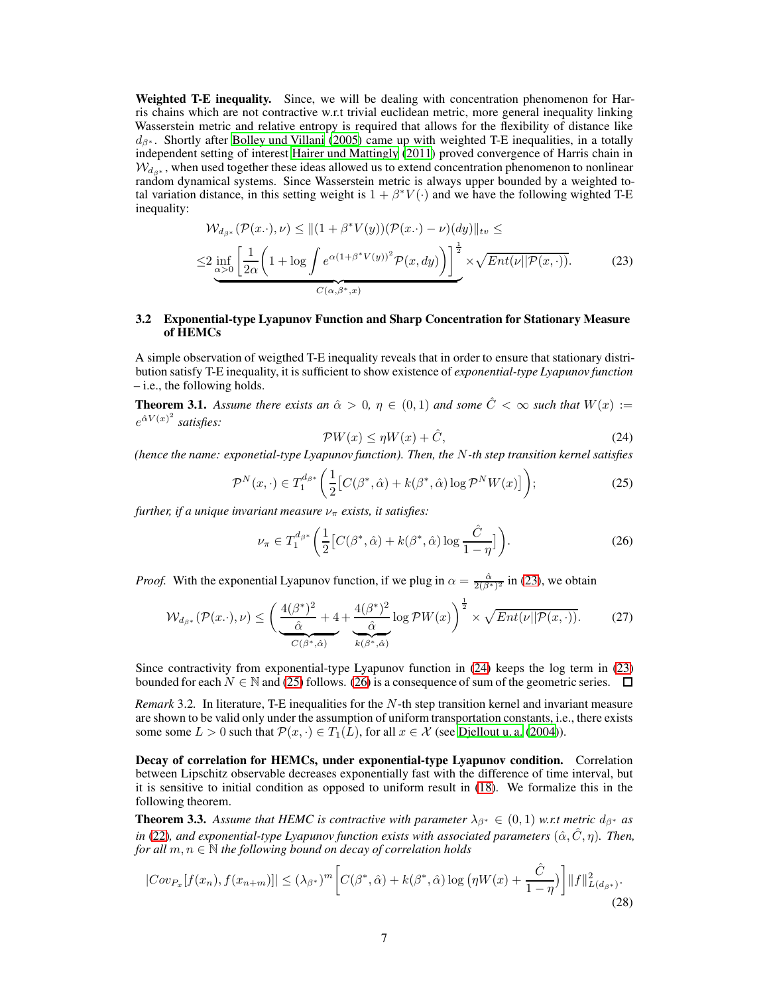Weighted T-E inequality. Since, we will be dealing with concentration phenomenon for Harris chains which are not contractive w.r.t trivial euclidean metric, more general inequality linking Wasserstein metric and relative entropy is required that allows for the flexibility of distance like  $d_{\beta^*}$ . Shortly after [Bolley und Villani \(2005\)](#page-9-13) came up with weighted T-E inequalities, in a totally independent setting of interest [Hairer und Mattingly](#page-9-12) [\(2011\)](#page-9-12) proved convergence of Harris chain in  $W_{da*}$ , when used together these ideas allowed us to extend concentration phenomenon to nonlinear random dynamical systems. Since Wasserstein metric is always upper bounded by a weighted total variation distance, in this setting weight is  $1 + \beta^* V(\cdot)$  and we have the following wighted T-E inequality:

$$
\mathcal{W}_{d_{\beta^*}}(\mathcal{P}(x\cdot),\nu) \le ||(1+\beta^*V(y))(\mathcal{P}(x\cdot)-\nu)(dy)||_{\nu} \le
$$
  

$$
\le 2 \inf_{\alpha>0} \left[ \frac{1}{2\alpha} \left( 1 + \log \int e^{\alpha(1+\beta^*V(y))^2} \mathcal{P}(x,dy) \right) \right]^{\frac{1}{2}} \times \sqrt{Ent(\nu||\mathcal{P}(x,\cdot))}. \tag{23}
$$

# 3.2 Exponential-type Lyapunov Function and Sharp Concentration for Stationary Measure of HEMCs

A simple observation of weigthed T-E inequality reveals that in order to ensure that stationary distribution satisfy T-E inequality, it is sufficient to show existence of *exponential-type Lyapunov function* – i.e., the following holds.

**Theorem 3.1.** Assume there exists an  $\hat{\alpha} > 0$ ,  $\eta \in (0,1)$  and some  $\hat{C} < \infty$  such that  $W(x) :=$  $e^{\hat{\alpha}V(x)^2}$  satisfies:

<span id="page-6-1"></span><span id="page-6-0"></span>
$$
\mathcal{P}W(x) \le \eta W(x) + \hat{C},\tag{24}
$$

*(hence the name: exponetial-type Lyapunov function). Then, the* N*-th step transition kernel satisfies*

<span id="page-6-2"></span>
$$
\mathcal{P}^N(x,\cdot) \in T_1^{d_{\beta^*}}\left(\frac{1}{2}\big[C(\beta^*,\hat{\alpha}) + k(\beta^*,\hat{\alpha})\log \mathcal{P}^N W(x)\big]\right);\tag{25}
$$

*further, if a unique invariant measure*  $\nu_{\pi}$  *exists, it satisfies:* 

<span id="page-6-3"></span>
$$
\nu_{\pi} \in T_1^{d_{\beta^*}} \left( \frac{1}{2} \left[ C(\beta^*, \hat{\alpha}) + k(\beta^*, \hat{\alpha}) \log \frac{\hat{C}}{1 - \eta} \right] \right). \tag{26}
$$

*Proof.* With the exponential Lyapunov function, if we plug in  $\alpha = \frac{\hat{\alpha}}{2(\beta^*)^2}$  in [\(23\)](#page-6-0), we obtain

$$
\mathcal{W}_{d_{\beta^*}}(\mathcal{P}(x,\cdot),\nu) \le \left(\underbrace{\frac{4(\beta^*)^2}{\hat{\alpha}}+4}_{C(\beta^*,\hat{\alpha})}+\underbrace{\frac{4(\beta^*)^2}{\hat{\alpha}}}\right) \log \mathcal{P}W(x)\right)^{\frac{1}{2}} \times \sqrt{Ent(\nu||\mathcal{P}(x,\cdot))}. \tag{27}
$$

Since contractivity from exponential-type Lyapunov function in [\(24\)](#page-6-1) keeps the log term in [\(23\)](#page-6-0) bounded for each  $N \in \mathbb{N}$  and [\(25\)](#page-6-2) follows. [\(26\)](#page-6-3) is a consequence of sum of the geometric series.  $\Box$ 

*Remark* 3.2*.* In literature, T-E inequalities for the N-th step transition kernel and invariant measure are shown to be valid only under the assumption of uniform transportation constants, i.e., there exists some some  $L > 0$  such that  $\mathcal{P}(x, \cdot) \in T_1(L)$ , for all  $x \in \mathcal{X}$  (see [Djellout u. a. \(2004](#page-9-6))).

Decay of correlation for HEMCs, under exponential-type Lyapunov condition. Correlation between Lipschitz observable decreases exponentially fast with the difference of time interval, but it is sensitive to initial condition as opposed to uniform result in [\(18\)](#page-5-2). We formalize this in the following theorem.

**Theorem 3.3.** Assume that HEMC is contractive with parameter  $\lambda_{\beta^*} \in (0,1)$  w.r.t metric  $d_{\beta^*}$  as *in* [\(22\)](#page-5-3), and exponential-type Lyapunov function exists with associated parameters  $(\hat{\alpha}, \hat{C}, \eta)$ . Then, *for all*  $m, n \in \mathbb{N}$  *the following bound on decay of correlation holds* 

$$
|Cov_{P_x}[f(x_n), f(x_{n+m})]| \le (\lambda_{\beta^*})^m \bigg[ C(\beta^*, \hat{\alpha}) + k(\beta^*, \hat{\alpha}) \log \big( \eta W(x) + \frac{\hat{C}}{1-\eta} \big) \bigg] \|f\|_{L(d_{\beta^*})}^2. \tag{28}
$$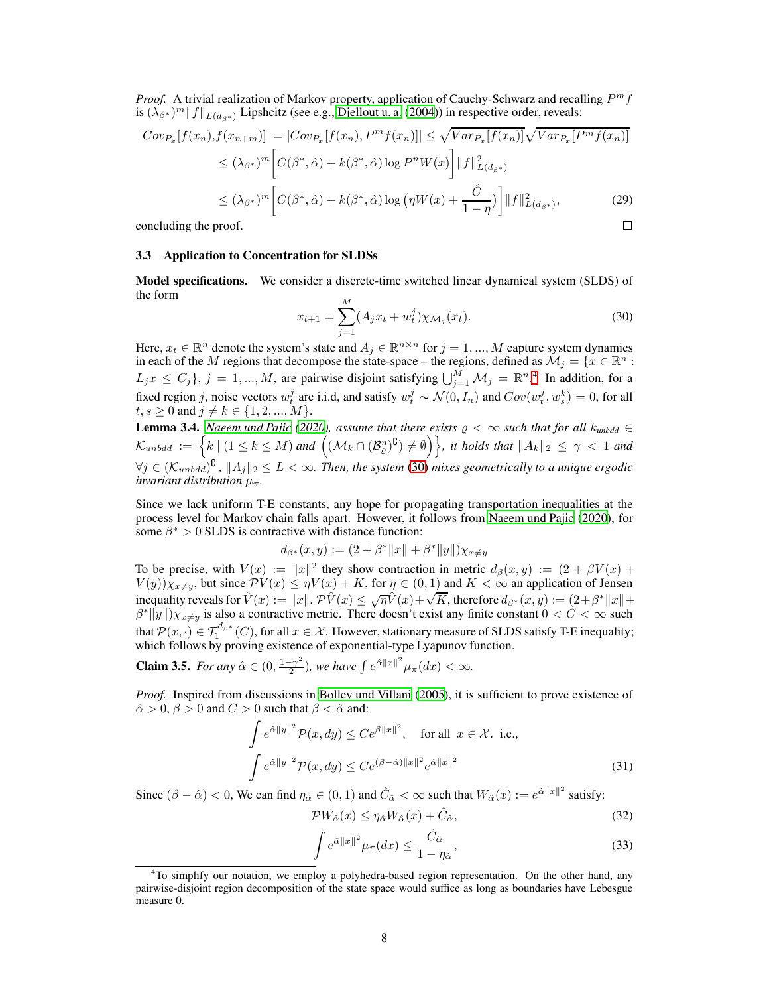*Proof.* A trivial realization of Markov property, application of Cauchy-Schwarz and recalling  $P^m f$ is  $(\lambda_{\beta^*})^m ||f||_{L(d_{\beta^*})}$  Lipshcitz (see e.g., [Djellout u. a. \(2004\)](#page-9-6)) in respective order, reveals:

$$
|Cov_{P_x}[f(x_n), f(x_{n+m})]| = |Cov_{P_x}[f(x_n), P^m f(x_n)]| \leq \sqrt{Var_{P_x}[f(x_n)]}\sqrt{Var_{P_x}[P^m f(x_n)]}
$$
  
\n
$$
\leq (\lambda_{\beta^*})^m \left[C(\beta^*, \hat{\alpha}) + k(\beta^*, \hat{\alpha})\log P^n W(x)\right] ||f||_{L(d_{\beta^*})}^2
$$
  
\n
$$
\leq (\lambda_{\beta^*})^m \left[C(\beta^*, \hat{\alpha}) + k(\beta^*, \hat{\alpha})\log(\eta W(x) + \frac{\hat{C}}{1-\eta})\right] ||f||_{L(d_{\beta^*})}^2,
$$
\n(29)  
\nconcluding the proof.

concluding the proof.

#### 3.3 Application to Concentration for SLDSs

Model specifications. We consider a discrete-time switched linear dynamical system (SLDS) of the form

<span id="page-7-1"></span>
$$
x_{t+1} = \sum_{j=1}^{M} (A_j x_t + w_t^j) \chi_{\mathcal{M}_j}(x_t).
$$
 (30)

Here,  $x_t \in \mathbb{R}^n$  denote the system's state and  $A_j \in \mathbb{R}^{n \times n}$  for  $j = 1, ..., M$  capture system dynamics in each of the M regions that decompose the state-space – the regions, defined as  $M_j = \{x \in \mathbb{R}^n :$  $L_j x \leq C_j$ ,  $j = 1, ..., M$ , are pairwise disjoint satisfying  $\bigcup_{j=1}^M \mathcal{M}_j = \mathbb{R}^{n}$ . In addition, for a fixed region j, noise vectors  $w_t^j$  are i.i.d, and satisfy  $w_t^j \sim \mathcal{N}(0, I_n)$  and  $Cov(w_t^j, w_s^k) = 0$ , for all  $t, s \ge 0$  and  $j \ne k \in \{1, 2, ..., M\}.$ 

**Lemma 3.4.** *[Naeem und Pajic](#page-9-10)* [\(2020\)](#page-9-10), assume that there exists  $\rho < \infty$  such that for all  $k_{unbdd} \in$  $\mathcal{K}_{unbdd} \ := \ \Big\{ k \ | \ (1 \leq k \leq M) \ and \ \Big( (\mathcal{M}_k \cap (\mathcal{B}_\varrho^n)^{\complement}) \neq \emptyset \Big) \Big\}, \ \textit{it holds that} \ \|A_k\|_2 \ \leq \ \gamma \ < \ 1 \ \textit{and}$  $\forall j \in (K_{unbdd})^{\complement}$ ,  $||A_j||_2 \le L < \infty$ . Then, the system [\(30\)](#page-7-1) mixes geometrically to a unique ergodic *invariant distribution*  $\mu_{\pi}$ *.* 

Since we lack uniform T-E constants, any hope for propagating transportation inequalities at the process level for Markov chain falls apart. However, it follows from [Naeem und Pajic](#page-9-10) [\(2020\)](#page-9-10), for some  $\beta^* > 0$  SLDS is contractive with distance function:

$$
d_{\beta^*}(x, y) := (2 + \beta^* ||x|| + \beta^* ||y||) \chi_{x \neq y}
$$

To be precise, with  $V(x) := ||x||^2$  they show contraction in metric  $d_\beta(x, y) := (2 + \beta V(x) + V(x))$  $V(y)\chi_{x\neq y}$ , but since  $\mathcal{P}V(x) \leq \eta V(x) + K$ , for  $\eta \in (0,1)$  and  $K < \infty$  an application of Jensen inequality reveals for  $\hat{V}(x) := ||x||$ .  $\hat{PV}(x) \le \sqrt{\eta} \hat{V}(x) + \sqrt{K}$ , therefore  $d_{\beta^*}(x, y) := (2 + \beta^* ||x|| + \beta^* ||y||) \chi_{x \neq y}$  is also a contractive metric. There doesn't exist any finite constant  $0 < C < \infty$  such that  $\mathcal{P}(x, \cdot) \in \mathcal{T}_1^{d_{\beta^*}}(C)$ , for all  $x \in \mathcal{X}$ . However, stationary measure of SLDS satisfy T-E inequality; which follows by proving existence of exponential-type Lyapunov function.

**Claim 3.5.** *For any*  $\hat{\alpha} \in (0, \frac{1-\gamma^2}{2})$  $\frac{(-\gamma^2)}{2}$ ), we have  $\int e^{\hat{\alpha}||x||^2}\mu_{\pi}(dx) < \infty$ .

*Proof.* Inspired from discussions in [Bolley und Villani \(2005\)](#page-9-13), it is sufficient to prove existence of  $\hat{\alpha} > 0$ ,  $\beta > 0$  and  $C > 0$  such that  $\beta < \hat{\alpha}$  and:

$$
\int e^{\hat{\alpha}||y||^2} \mathcal{P}(x, dy) \le Ce^{\beta ||x||^2}, \quad \text{for all } x \in \mathcal{X}. \text{ i.e.,}
$$

$$
\int e^{\hat{\alpha}||y||^2} \mathcal{P}(x, dy) \le Ce^{(\beta - \hat{\alpha})||x||^2} e^{\hat{\alpha}||x||^2}
$$
(31)

Since  $(\beta - \hat{\alpha}) < 0$ , We can find  $\eta_{\hat{\alpha}} \in (0, 1)$  and  $\hat{C}_{\hat{\alpha}} < \infty$  such that  $W_{\hat{\alpha}}(x) := e^{\hat{\alpha} ||x||^2}$  satisfy:

$$
\mathcal{P}W_{\hat{\alpha}}(x) \le \eta_{\hat{\alpha}}W_{\hat{\alpha}}(x) + \hat{C}_{\hat{\alpha}},\tag{32}
$$

$$
\int e^{\hat{\alpha}||x||^2} \mu_{\pi}(dx) \le \frac{\hat{C}_{\hat{\alpha}}}{1 - \eta_{\hat{\alpha}}},\tag{33}
$$

<span id="page-7-0"></span><sup>&</sup>lt;sup>4</sup>To simplify our notation, we employ a polyhedra-based region representation. On the other hand, any pairwise-disjoint region decomposition of the state space would suffice as long as boundaries have Lebesgue measure 0.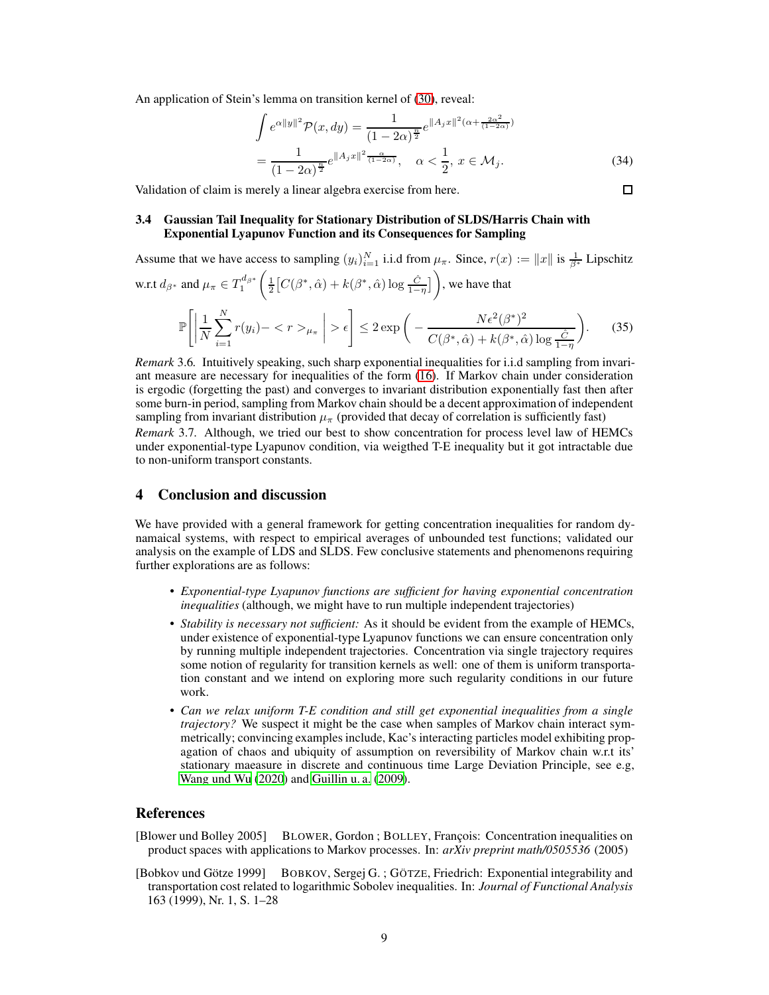An application of Stein's lemma on transition kernel of [\(30\)](#page-7-1), reveal:

$$
\int e^{\alpha ||y||^2} \mathcal{P}(x, dy) = \frac{1}{(1 - 2\alpha)^{\frac{n}{2}}} e^{\|A_j x\|^2 (\alpha + \frac{2\alpha^2}{(1 - 2\alpha)})}
$$

$$
= \frac{1}{(1 - 2\alpha)^{\frac{n}{2}}} e^{\|A_j x\|^2 \frac{\alpha}{(1 - 2\alpha)}}, \quad \alpha < \frac{1}{2}, \ x \in \mathcal{M}_j. \tag{34}
$$

Validation of claim is merely a linear algebra exercise from here.

### 3.4 Gaussian Tail Inequality for Stationary Distribution of SLDS/Harris Chain with Exponential Lyapunov Function and its Consequences for Sampling

Assume that we have access to sampling  $(y_i)_{i=1}^N$  i.i.d from  $\mu_\pi$ . Since,  $r(x) := ||x||$  is  $\frac{1}{\beta^*}$  Lipschitz w.r.t  $d_{\beta^*}$  and  $\mu_{\pi} \in T_1^{d_{\beta^*}}$  $\left(\frac{1}{2}\left[C(\beta^*,\hat{\alpha})+k(\beta^*,\hat{\alpha})\log\frac{\hat{C}}{1-\eta}\right]\right)$ , we have that  $\mathbb{P}\Bigg[\Bigg]$ 1 N  $\sum_{i=1}^{N}$  $\sum_{i=1}^{N} r(y_i) - \langle r \rangle_{\mu_{\pi}}$  $>\epsilon\Bigg] \leq 2 \exp\Bigg( N \epsilon^2 (\beta^*)^2$  $C(\beta^*, \hat{\alpha}) + k(\beta^*, \hat{\alpha}) \log \frac{\hat{C}}{1-\eta}$  $\setminus$  $(35)$ 

*Remark* 3.6*.* Intuitively speaking, such sharp exponential inequalities for i.i.d sampling from invariant measure are necessary for inequalities of the form [\(16\)](#page-4-2). If Markov chain under consideration is ergodic (forgetting the past) and converges to invariant distribution exponentially fast then after some burn-in period, sampling from Markov chain should be a decent approximation of independent sampling from invariant distribution  $\mu_{\pi}$  (provided that decay of correlation is sufficiently fast)

*Remark* 3.7*.* Although, we tried our best to show concentration for process level law of HEMCs under exponential-type Lyapunov condition, via weigthed T-E inequality but it got intractable due to non-uniform transport constants.

# 4 Conclusion and discussion

We have provided with a general framework for getting concentration inequalities for random dynamaical systems, with respect to empirical averages of unbounded test functions; validated our analysis on the example of LDS and SLDS. Few conclusive statements and phenomenons requiring further explorations are as follows:

- *Exponential-type Lyapunov functions are sufficient for having exponential concentration inequalities* (although, we might have to run multiple independent trajectories)
- *Stability is necessary not sufficient:* As it should be evident from the example of HEMCs, under existence of exponential-type Lyapunov functions we can ensure concentration only by running multiple independent trajectories. Concentration via single trajectory requires some notion of regularity for transition kernels as well: one of them is uniform transportation constant and we intend on exploring more such regularity conditions in our future work.
- *Can we relax uniform T-E condition and still get exponential inequalities from a single trajectory?* We suspect it might be the case when samples of Markov chain interact symmetrically; convincing examples include, Kac's interacting particles model exhibiting propagation of chaos and ubiquity of assumption on reversibility of Markov chain w.r.t its' stationary maeasure in discrete and continuous time Large Deviation Principle, see e.g, [Wang und Wu \(2020\)](#page-10-2) and [Guillin u. a. \(2009](#page-9-18)).

# References

- <span id="page-8-0"></span>[Blower und Bolley 2005] BLOWER, Gordon ; BOLLEY, François: Concentration inequalities on product spaces with applications to Markov processes. In: *arXiv preprint math/0505536* (2005)
- <span id="page-8-1"></span>[Bobkov und Götze 1999] BOBKOV, Sergej G. ; GÖTZE, Friedrich: Exponential integrability and transportation cost related to logarithmic Sobolev inequalities. In: *Journal of Functional Analysis* 163 (1999), Nr. 1, S. 1–28

 $\Box$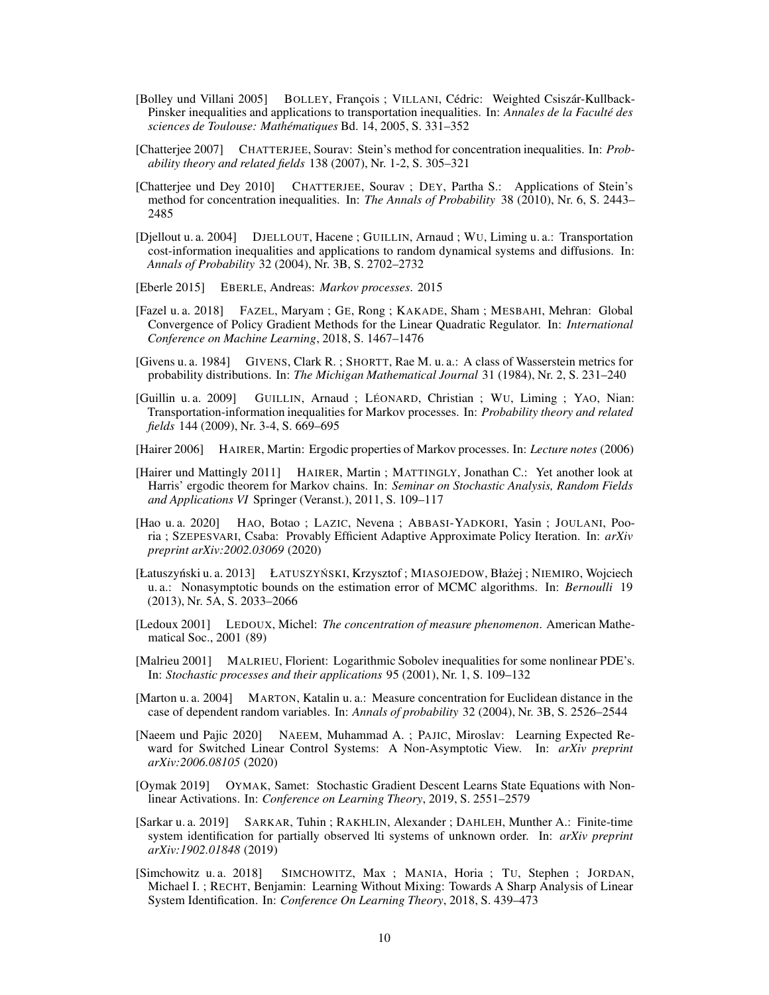- <span id="page-9-13"></span>[Bolley und Villani 2005] BOLLEY, François ; VILLANI, Cédric: Weighted Csiszár-Kullback-Pinsker inequalities and applications to transportation inequalities. In: *Annales de la Faculté des sciences de Toulouse: Mathématiques* Bd. 14, 2005, S. 331–352
- <span id="page-9-7"></span>[Chatterjee 2007] CHATTERJEE, Sourav: Stein's method for concentration inequalities. In: *Probability theory and related fields* 138 (2007), Nr. 1-2, S. 305–321
- <span id="page-9-11"></span>[Chatterjee und Dey 2010] CHATTERJEE, Sourav ; DEY, Partha S.: Applications of Stein's method for concentration inequalities. In: *The Annals of Probability* 38 (2010), Nr. 6, S. 2443– 2485
- <span id="page-9-6"></span>[Djellout u. a. 2004] DJELLOUT, Hacene ; GUILLIN, Arnaud ; WU, Liming u. a.: Transportation cost-information inequalities and applications to random dynamical systems and diffusions. In: *Annals of Probability* 32 (2004), Nr. 3B, S. 2702–2732
- <span id="page-9-16"></span>[Eberle 2015] EBERLE, Andreas: *Markov processes*. 2015
- <span id="page-9-2"></span>[Fazel u. a. 2018] FAZEL, Maryam ; GE, Rong ; KAKADE, Sham ; MESBAHI, Mehran: Global Convergence of Policy Gradient Methods for the Linear Quadratic Regulator. In: *International Conference on Machine Learning*, 2018, S. 1467–1476
- <span id="page-9-15"></span>[Givens u. a. 1984] GIVENS, Clark R. ; SHORTT, Rae M. u. a.: A class of Wasserstein metrics for probability distributions. In: *The Michigan Mathematical Journal* 31 (1984), Nr. 2, S. 231–240
- <span id="page-9-18"></span>[Guillin u. a. 2009] GUILLIN, Arnaud ; LÉONARD, Christian ; WU, Liming ; YAO, Nian: Transportation-information inequalities for Markov processes. In: *Probability theory and related fields* 144 (2009), Nr. 3-4, S. 669–695
- <span id="page-9-17"></span>[Hairer 2006] HAIRER, Martin: Ergodic properties of Markov processes. In: *Lecture notes* (2006)
- <span id="page-9-12"></span>[Hairer und Mattingly 2011] HAIRER, Martin ; MATTINGLY, Jonathan C.: Yet another look at Harris' ergodic theorem for Markov chains. In: *Seminar on Stochastic Analysis, Random Fields and Applications VI* Springer (Veranst.), 2011, S. 109–117
- <span id="page-9-0"></span>[Hao u. a. 2020] HAO, Botao ; LAZIC, Nevena ; ABBASI-YADKORI, Yasin ; JOULANI, Pooria ; SZEPESVARI, Csaba: Provably Efficient Adaptive Approximate Policy Iteration. In: *arXiv preprint arXiv:2002.03069* (2020)
- <span id="page-9-9"></span>[Łatuszyński u. a. 2013] ŁATUSZYŃSKI, Krzysztof; MIASOJEDOW, Błażej; NIEMIRO, Wojciech u. a.: Nonasymptotic bounds on the estimation error of MCMC algorithms. In: *Bernoulli* 19 (2013), Nr. 5A, S. 2033–2066
- <span id="page-9-8"></span>[Ledoux 2001] LEDOUX, Michel: *The concentration of measure phenomenon*. American Mathematical Soc., 2001 (89)
- <span id="page-9-14"></span>[Malrieu 2001] MALRIEU, Florient: Logarithmic Sobolev inequalities for some nonlinear PDE's. In: *Stochastic processes and their applications* 95 (2001), Nr. 1, S. 109–132
- <span id="page-9-5"></span>[Marton u. a. 2004] MARTON, Katalin u. a.: Measure concentration for Euclidean distance in the case of dependent random variables. In: *Annals of probability* 32 (2004), Nr. 3B, S. 2526–2544
- <span id="page-9-10"></span>[Naeem und Pajic 2020] NAEEM, Muhammad A. ; PAJIC, Miroslav: Learning Expected Reward for Switched Linear Control Systems: A Non-Asymptotic View. In: *arXiv preprint arXiv:2006.08105* (2020)
- <span id="page-9-1"></span>[Oymak 2019] OYMAK, Samet: Stochastic Gradient Descent Learns State Equations with Nonlinear Activations. In: *Conference on Learning Theory*, 2019, S. 2551–2579
- <span id="page-9-4"></span>[Sarkar u. a. 2019] SARKAR, Tuhin ; RAKHLIN, Alexander ; DAHLEH, Munther A.: Finite-time system identification for partially observed lti systems of unknown order. In: *arXiv preprint arXiv:1902.01848* (2019)
- <span id="page-9-3"></span>[Simchowitz u. a. 2018] SIMCHOWITZ, Max ; MANIA, Horia ; TU, Stephen ; JORDAN, Michael I. ; RECHT, Benjamin: Learning Without Mixing: Towards A Sharp Analysis of Linear System Identification. In: *Conference On Learning Theory*, 2018, S. 439–473